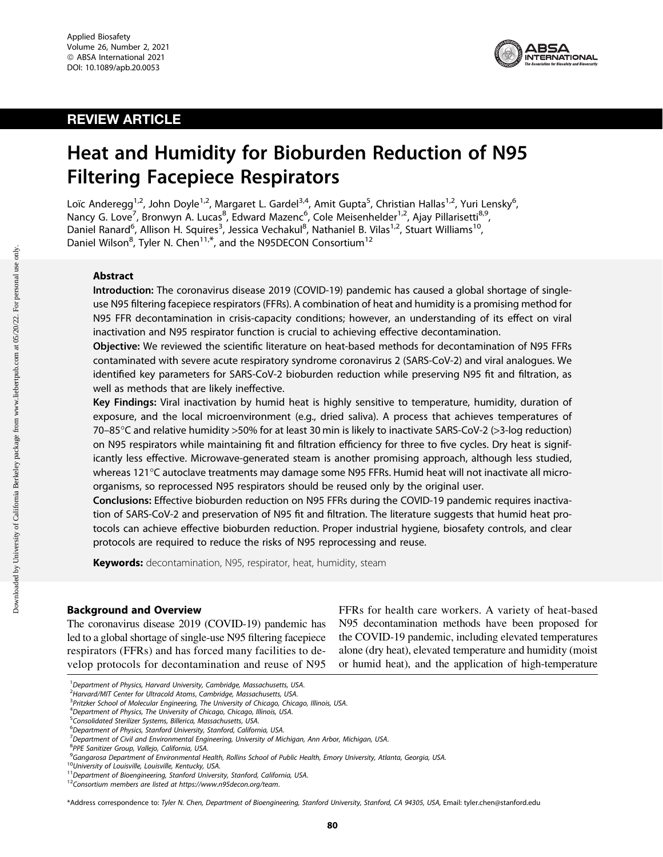

## REVIEW ARTICLE

# Heat and Humidity for Bioburden Reduction of N95 Filtering Facepiece Respirators

Loïc Anderegg<sup>1,2</sup>, John Doyle<sup>1,2</sup>, Margaret L. Gardel<sup>3,4</sup>, Amit Gupta<sup>5</sup>, Christian Hallas<sup>1,2</sup>, Yuri Lensky<sup>6</sup> , Nancy G. Love<sup>7</sup>, Bronwyn A. Lucas<sup>8</sup>, Edward Mazenc<sup>6</sup>, Cole Meisenhelder<sup>1,2</sup>, Ajay Pillarisetti<sup>8,9</sup>, Daniel Ranard<sup>6</sup>, Allison H. Squires<sup>3</sup>, Jessica Vechakul<sup>8</sup>, Nathaniel B. Vilas<sup>1,2</sup>, Stuart Williams<sup>10</sup>, Daniel Wilson<sup>8</sup>, Tyler N. Chen<sup>11,\*</sup>, and the N95DECON Consortium<sup>12</sup>

## Abstract

Introduction: The coronavirus disease 2019 (COVID-19) pandemic has caused a global shortage of singleuse N95 filtering facepiece respirators (FFRs). A combination of heat and humidity is a promising method for N95 FFR decontamination in crisis-capacity conditions; however, an understanding of its effect on viral inactivation and N95 respirator function is crucial to achieving effective decontamination.

Objective: We reviewed the scientific literature on heat-based methods for decontamination of N95 FFRs contaminated with severe acute respiratory syndrome coronavirus 2 (SARS-CoV-2) and viral analogues. We identified key parameters for SARS-CoV-2 bioburden reduction while preserving N95 fit and filtration, as well as methods that are likely ineffective.

Key Findings: Viral inactivation by humid heat is highly sensitive to temperature, humidity, duration of exposure, and the local microenvironment (e.g., dried saliva). A process that achieves temperatures of 70–85-C and relative humidity >50% for at least 30 min is likely to inactivate SARS-CoV-2 (>3-log reduction) on N95 respirators while maintaining fit and filtration efficiency for three to five cycles. Dry heat is significantly less effective. Microwave-generated steam is another promising approach, although less studied, whereas 121°C autoclave treatments may damage some N95 FFRs. Humid heat will not inactivate all microorganisms, so reprocessed N95 respirators should be reused only by the original user.

Conclusions: Effective bioburden reduction on N95 FFRs during the COVID-19 pandemic requires inactivation of SARS-CoV-2 and preservation of N95 fit and filtration. The literature suggests that humid heat protocols can achieve effective bioburden reduction. Proper industrial hygiene, biosafety controls, and clear protocols are required to reduce the risks of N95 reprocessing and reuse.

Keywords: decontamination, N95, respirator, heat, humidity, steam

## Background and Overview

The coronavirus disease 2019 (COVID-19) pandemic has led to a global shortage of single-use N95 filtering facepiece respirators (FFRs) and has forced many facilities to develop protocols for decontamination and reuse of N95 FFRs for health care workers. A variety of heat-based N95 decontamination methods have been proposed for the COVID-19 pandemic, including elevated temperatures alone (dry heat), elevated temperature and humidity (moist or humid heat), and the application of high-temperature

\*Address correspondence to: Tyler N. Chen, Department of Bioengineering, Stanford University, Stanford, CA 94305, USA, Email: tyler.chen@stanford.edu

<sup>1&</sup>lt;br>Pepartment of Physics, Harvard University, Cambridge, Massachusetts, USA.<br>2Hanverd MIT Conter for Ultracold Atoms, Cambridge, Massachusetts, USA.

<sup>&</sup>lt;sup>2</sup>Harvard/MIT Center for Ultracold Atoms, Cambridge, Massachusetts, USA.

<sup>&</sup>lt;sup>3</sup>Pritzker School of Molecular Engineering, The University of Chicago, Chicago, Illinois, USA.

 $4$ Department of Physics, The University of Chicago, Chicago, Illinois, USA.

<sup>&</sup>lt;sup>5</sup>Consolidated Sterilizer Systems, Billerica, Massachusetts, USA.

<sup>&</sup>lt;sup>6</sup>Department of Physics, Stanford University, Stanford, California, USA.

 $7$ Department of Civil and Environmental Engineering, University of Michigan, Ann Arbor, Michigan, USA.

<sup>&</sup>lt;sup>8</sup>PPE Sanitizer Group, Vallejo, California, USA.<br><sup>9</sup>Gangarosa Department of Environmental Health, Rollins School of Public Health, Emory University, Atlanta, Georgia, USA.

<sup>&</sup>lt;sup>10</sup>University of Louisville, Louisville, Kentucky, USA.<br><sup>11</sup>Department of Bioengineering, Stanford University, Stanford, California, USA.<br><sup>12</sup>Consortium members are listed at https://www.n95decon.org/team.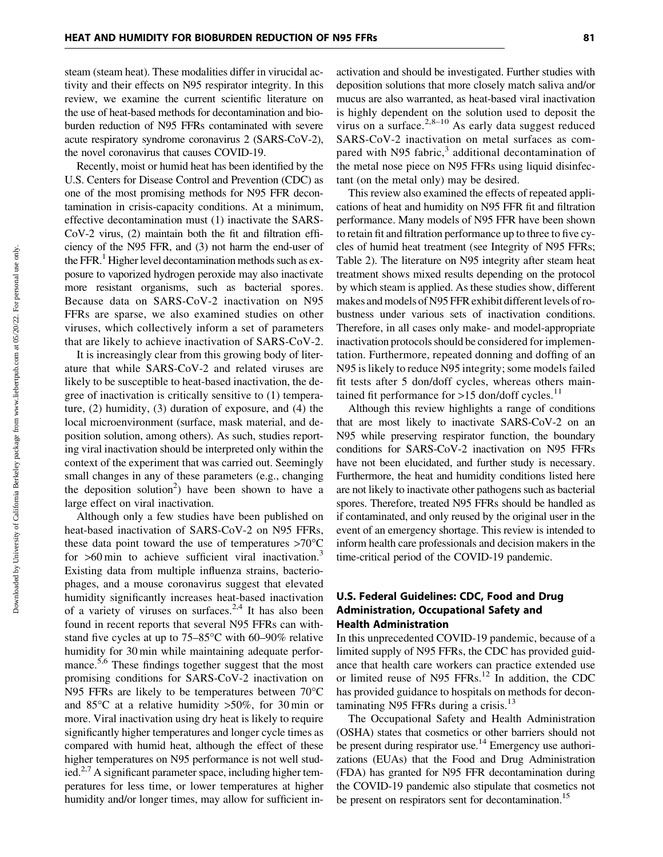steam (steam heat). These modalities differ in virucidal activity and their effects on N95 respirator integrity. In this review, we examine the current scientific literature on the use of heat-based methods for decontamination and bioburden reduction of N95 FFRs contaminated with severe acute respiratory syndrome coronavirus 2 (SARS-CoV-2), the novel coronavirus that causes COVID-19.

Recently, moist or humid heat has been identified by the U.S. Centers for Disease Control and Prevention (CDC) as one of the most promising methods for N95 FFR decontamination in crisis-capacity conditions. At a minimum, effective decontamination must (1) inactivate the SARS-CoV-2 virus, (2) maintain both the fit and filtration efficiency of the N95 FFR, and (3) not harm the end-user of the FFR.<sup>1</sup> Higher level decontamination methods such as exposure to vaporized hydrogen peroxide may also inactivate more resistant organisms, such as bacterial spores. Because data on SARS-CoV-2 inactivation on N95 FFRs are sparse, we also examined studies on other viruses, which collectively inform a set of parameters that are likely to achieve inactivation of SARS-CoV-2.

It is increasingly clear from this growing body of literature that while SARS-CoV-2 and related viruses are likely to be susceptible to heat-based inactivation, the degree of inactivation is critically sensitive to (1) temperature, (2) humidity, (3) duration of exposure, and (4) the local microenvironment (surface, mask material, and deposition solution, among others). As such, studies reporting viral inactivation should be interpreted only within the context of the experiment that was carried out. Seemingly small changes in any of these parameters (e.g., changing the deposition solution<sup>2</sup>) have been shown to have a large effect on viral inactivation.

Although only a few studies have been published on heat-based inactivation of SARS-CoV-2 on N95 FFRs, these data point toward the use of temperatures  $>70^{\circ}$ C for  $>60$  min to achieve sufficient viral inactivation.<sup>3</sup> Existing data from multiple influenza strains, bacteriophages, and a mouse coronavirus suggest that elevated humidity significantly increases heat-based inactivation of a variety of viruses on surfaces.<sup>2,4</sup> It has also been found in recent reports that several N95 FFRs can withstand five cycles at up to  $75-85^{\circ}$ C with 60-90% relative humidity for 30 min while maintaining adequate performance.5,6 These findings together suggest that the most promising conditions for SARS-CoV-2 inactivation on N95 FFRs are likely to be temperatures between  $70^{\circ}$ C and  $85^{\circ}$ C at a relative humidity  $>50\%$ , for 30 min or more. Viral inactivation using dry heat is likely to require significantly higher temperatures and longer cycle times as compared with humid heat, although the effect of these higher temperatures on N95 performance is not well studied. $2.7$  A significant parameter space, including higher temperatures for less time, or lower temperatures at higher humidity and/or longer times, may allow for sufficient inactivation and should be investigated. Further studies with deposition solutions that more closely match saliva and/or mucus are also warranted, as heat-based viral inactivation is highly dependent on the solution used to deposit the virus on a surface.<sup>2,8–10</sup> As early data suggest reduced SARS-CoV-2 inactivation on metal surfaces as compared with N95 fabric, $3$  additional decontamination of the metal nose piece on N95 FFRs using liquid disinfectant (on the metal only) may be desired.

This review also examined the effects of repeated applications of heat and humidity on N95 FFR fit and filtration performance. Many models of N95 FFR have been shown to retain fit and filtration performance up to three to five cycles of humid heat treatment (see Integrity of N95 FFRs; Table 2). The literature on N95 integrity after steam heat treatment shows mixed results depending on the protocol by which steam is applied. As these studies show, different makes and models of N95 FFR exhibit different levels of robustness under various sets of inactivation conditions. Therefore, in all cases only make- and model-appropriate inactivation protocols should be considered for implementation. Furthermore, repeated donning and doffing of an N95 is likely to reduce N95 integrity; some models failed fit tests after 5 don/doff cycles, whereas others maintained fit performance for  $>15$  don/doff cycles.<sup>11</sup>

Although this review highlights a range of conditions that are most likely to inactivate SARS-CoV-2 on an N95 while preserving respirator function, the boundary conditions for SARS-CoV-2 inactivation on N95 FFRs have not been elucidated, and further study is necessary. Furthermore, the heat and humidity conditions listed here are not likely to inactivate other pathogens such as bacterial spores. Therefore, treated N95 FFRs should be handled as if contaminated, and only reused by the original user in the event of an emergency shortage. This review is intended to inform health care professionals and decision makers in the time-critical period of the COVID-19 pandemic.

## U.S. Federal Guidelines: CDC, Food and Drug Administration, Occupational Safety and Health Administration

In this unprecedented COVID-19 pandemic, because of a limited supply of N95 FFRs, the CDC has provided guidance that health care workers can practice extended use or limited reuse of N95  $FFRs.<sup>12</sup>$  In addition, the CDC has provided guidance to hospitals on methods for decontaminating N95 FFRs during a crisis.<sup>13</sup>

The Occupational Safety and Health Administration (OSHA) states that cosmetics or other barriers should not be present during respirator use.<sup>14</sup> Emergency use authorizations (EUAs) that the Food and Drug Administration (FDA) has granted for N95 FFR decontamination during the COVID-19 pandemic also stipulate that cosmetics not be present on respirators sent for decontamination.<sup>15</sup>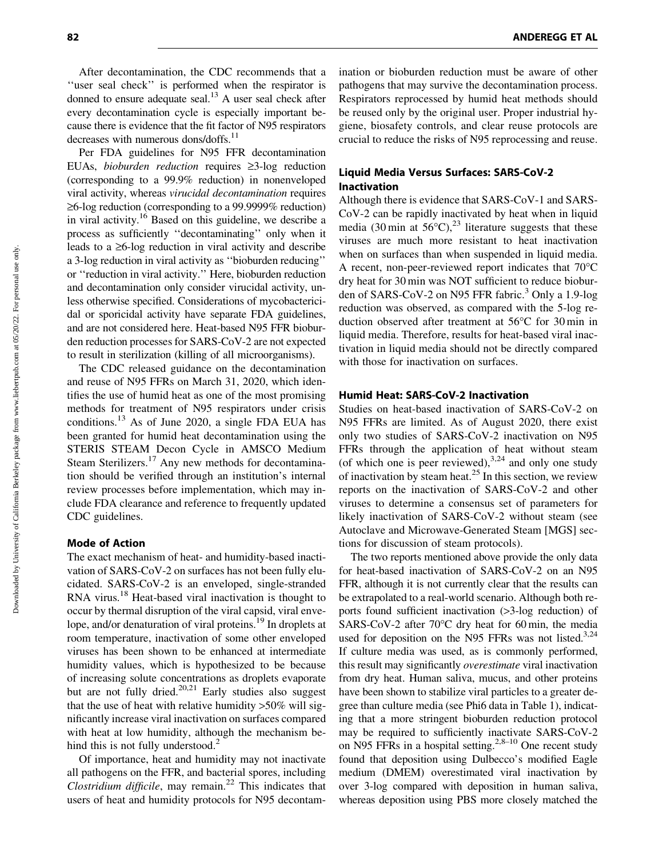After decontamination, the CDC recommends that a "user seal check" is performed when the respirator is donned to ensure adequate seal.<sup>13</sup> A user seal check after every decontamination cycle is especially important because there is evidence that the fit factor of N95 respirators decreases with numerous dons/doffs.<sup>11</sup>

Per FDA guidelines for N95 FFR decontamination EUAs, *bioburden reduction* requires ‡3-log reduction (corresponding to a 99.9% reduction) in nonenveloped viral activity, whereas *virucidal decontamination* requires  $\geq$ 6-log reduction (corresponding to a 99.9999% reduction) in viral activity.16 Based on this guideline, we describe a process as sufficiently ''decontaminating'' only when it leads to a  $\geq 6$ -log reduction in viral activity and describe a 3-log reduction in viral activity as ''bioburden reducing'' or ''reduction in viral activity.'' Here, bioburden reduction and decontamination only consider virucidal activity, unless otherwise specified. Considerations of mycobactericidal or sporicidal activity have separate FDA guidelines, and are not considered here. Heat-based N95 FFR bioburden reduction processes for SARS-CoV-2 are not expected to result in sterilization (killing of all microorganisms).

The CDC released guidance on the decontamination and reuse of N95 FFRs on March 31, 2020, which identifies the use of humid heat as one of the most promising methods for treatment of N95 respirators under crisis conditions.13 As of June 2020, a single FDA EUA has been granted for humid heat decontamination using the STERIS STEAM Decon Cycle in AMSCO Medium Steam Sterilizers.<sup>17</sup> Any new methods for decontamination should be verified through an institution's internal review processes before implementation, which may include FDA clearance and reference to frequently updated CDC guidelines.

## Mode of Action

The exact mechanism of heat- and humidity-based inactivation of SARS-CoV-2 on surfaces has not been fully elucidated. SARS-CoV-2 is an enveloped, single-stranded RNA virus.<sup>18</sup> Heat-based viral inactivation is thought to occur by thermal disruption of the viral capsid, viral envelope, and/or denaturation of viral proteins.<sup>19</sup> In droplets at room temperature, inactivation of some other enveloped viruses has been shown to be enhanced at intermediate humidity values, which is hypothesized to be because of increasing solute concentrations as droplets evaporate but are not fully dried.<sup>20,21</sup> Early studies also suggest that the use of heat with relative humidity >50% will significantly increase viral inactivation on surfaces compared with heat at low humidity, although the mechanism behind this is not fully understood. $2^2$ 

Of importance, heat and humidity may not inactivate all pathogens on the FFR, and bacterial spores, including *Clostridium difficile*, may remain.<sup>22</sup> This indicates that users of heat and humidity protocols for N95 decontamination or bioburden reduction must be aware of other pathogens that may survive the decontamination process. Respirators reprocessed by humid heat methods should be reused only by the original user. Proper industrial hygiene, biosafety controls, and clear reuse protocols are crucial to reduce the risks of N95 reprocessing and reuse.

## Liquid Media Versus Surfaces: SARS-CoV-2 Inactivation

Although there is evidence that SARS-CoV-1 and SARS-CoV-2 can be rapidly inactivated by heat when in liquid media (30 min at  $56^{\circ}$ C),<sup>23</sup> literature suggests that these viruses are much more resistant to heat inactivation when on surfaces than when suspended in liquid media. A recent, non-peer-reviewed report indicates that  $70^{\circ}$ C dry heat for 30 min was NOT sufficient to reduce bioburden of SARS-CoV-2 on N95 FFR fabric.<sup>3</sup> Only a 1.9-log reduction was observed, as compared with the 5-log reduction observed after treatment at  $56^{\circ}$ C for 30 min in liquid media. Therefore, results for heat-based viral inactivation in liquid media should not be directly compared with those for inactivation on surfaces.

## Humid Heat: SARS-CoV-2 Inactivation

Studies on heat-based inactivation of SARS-CoV-2 on N95 FFRs are limited. As of August 2020, there exist only two studies of SARS-CoV-2 inactivation on N95 FFRs through the application of heat without steam (of which one is peer reviewed), $^{3,24}$  and only one study of inactivation by steam heat.<sup>25</sup> In this section, we review reports on the inactivation of SARS-CoV-2 and other viruses to determine a consensus set of parameters for likely inactivation of SARS-CoV-2 without steam (see Autoclave and Microwave-Generated Steam [MGS] sections for discussion of steam protocols).

The two reports mentioned above provide the only data for heat-based inactivation of SARS-CoV-2 on an N95 FFR, although it is not currently clear that the results can be extrapolated to a real-world scenario. Although both reports found sufficient inactivation (>3-log reduction) of SARS-CoV-2 after  $70^{\circ}$ C dry heat for 60 min, the media used for deposition on the N95 FFRs was not listed.<sup>3,24</sup> If culture media was used, as is commonly performed, this result may significantly *overestimate* viral inactivation from dry heat. Human saliva, mucus, and other proteins have been shown to stabilize viral particles to a greater degree than culture media (see Phi6 data in Table 1), indicating that a more stringent bioburden reduction protocol may be required to sufficiently inactivate SARS-CoV-2 on N95 FFRs in a hospital setting.<sup>2,8–10</sup> One recent study found that deposition using Dulbecco's modified Eagle medium (DMEM) overestimated viral inactivation by over 3-log compared with deposition in human saliva, whereas deposition using PBS more closely matched the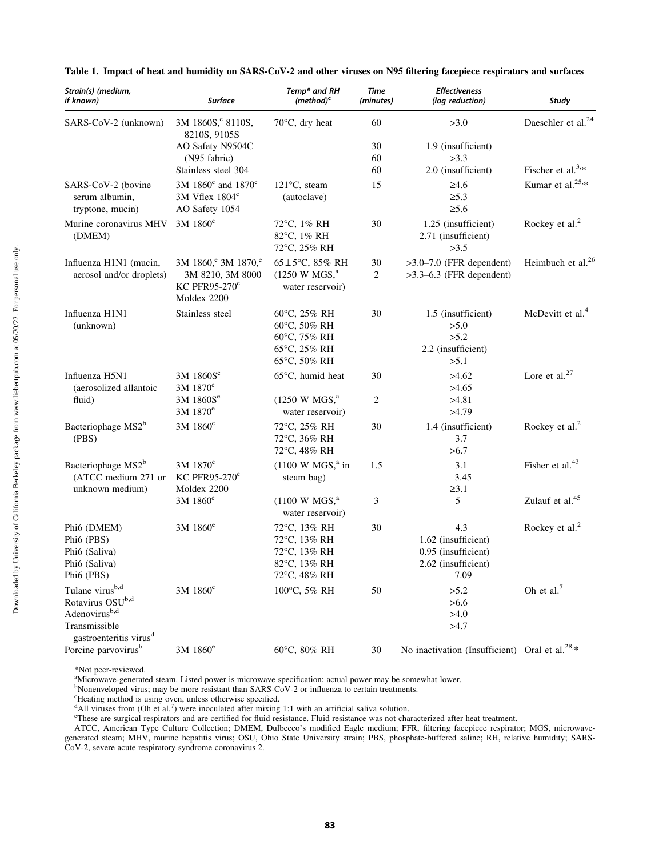| Strain(s) (medium,<br>if known)                                                                                                                 | <b>Surface</b>                                                                      | Temp* and RH<br>$(method)^c$                                                 | <b>Time</b><br>(minutes) | <b>Effectiveness</b><br>(log reduction)                                          | Study                          |
|-------------------------------------------------------------------------------------------------------------------------------------------------|-------------------------------------------------------------------------------------|------------------------------------------------------------------------------|--------------------------|----------------------------------------------------------------------------------|--------------------------------|
| SARS-CoV-2 (unknown)                                                                                                                            | 3M 1860S, <sup>e</sup> 8110S,<br>8210S, 9105S                                       | $70^{\circ}$ C, dry heat                                                     | 60                       | >3.0                                                                             | Daeschler et al. <sup>24</sup> |
|                                                                                                                                                 | AO Safety N9504C                                                                    |                                                                              | 30                       | 1.9 (insufficient)                                                               |                                |
|                                                                                                                                                 | (N95 fabric)                                                                        |                                                                              | 60                       | >3.3                                                                             |                                |
|                                                                                                                                                 | Stainless steel 304                                                                 |                                                                              | 60                       | 2.0 (insufficient)                                                               | Fischer et al. <sup>3,*</sup>  |
| SARS-CoV-2 (bovine<br>serum albumin,<br>tryptone, mucin)                                                                                        | 3M 1860 <sup>e</sup> and 1870 <sup>e</sup><br>$3M$ Vflex $1804^e$<br>AO Safety 1054 | $121^{\circ}$ C, steam<br>(autoclave)                                        | 15                       | $\geq 4.6$<br>$\geq 5.3$<br>$\geq 5.6$                                           | Kumar et al. <sup>25,*</sup>   |
| Murine coronavirus MHV<br>(DMEM)                                                                                                                | $3M$ 1860 $^{\circ}$                                                                | 72°C, 1% RH<br>82°C, 1% RH<br>72°C, 25% RH                                   | 30                       | 1.25 (insufficient)<br>2.71 (insufficient)<br>>3.5                               | Rockey et al. <sup>2</sup>     |
| Influenza H1N1 (mucin,                                                                                                                          | 3M 1860, <sup>e</sup> 3M 1870, <sup>e</sup>                                         | $65 \pm 5^{\circ}$ C, 85% RH                                                 | 30                       | $>3.0-7.0$ (FFR dependent)                                                       | Heimbuch et al. <sup>26</sup>  |
| aerosol and/or droplets)                                                                                                                        | 3M 8210, 3M 8000<br>KC PFR95-270 $^{\rm e}$<br>Moldex 2200                          | $(1250 \text{ W MGS})^4$<br>water reservoir)                                 | 2                        | $>3.3-6.3$ (FFR dependent)                                                       |                                |
| Influenza H1N1<br>(unknown)                                                                                                                     | Stainless steel                                                                     | 60°C, 25% RH<br>60°C, 50% RH<br>60°C, 75% RH<br>65°C, 25% RH<br>65°C, 50% RH | 30                       | 1.5 (insufficient)<br>>5.0<br>>5.2<br>2.2 (insufficient)<br>>5.1                 | McDevitt et al. <sup>4</sup>   |
| Influenza H5N1<br>(aerosolized allantoic                                                                                                        | 3M 1860S <sup>e</sup><br>$3M$ 1870 $^{\circ}$                                       | $65^{\circ}$ C, humid heat                                                   | 30                       | >4.62<br>>4.65                                                                   | Lore et al. $27$               |
| fluid)                                                                                                                                          | 3M 1860S <sup>e</sup><br>3M 1870 <sup>e</sup>                                       | $(1250 \text{ W MGS})^a$<br>water reservoir)                                 | 2                        | >4.81<br>>4.79                                                                   |                                |
| Bacteriophage MS2 <sup>b</sup><br>(PBS)                                                                                                         | 3M 1860 <sup>e</sup>                                                                | 72°C, 25% RH<br>72°C, 36% RH<br>72°C, 48% RH                                 | 30                       | 1.4 (insufficient)<br>3.7<br>>6.7                                                | Rockey et al. <sup>2</sup>     |
| Bacteriophage MS2 <sup>b</sup><br>(ATCC medium 271 or<br>unknown medium)                                                                        | 3M 1870 <sup>e</sup><br>KC PFR95-270 $^{\rm e}$<br>Moldex 2200                      | $(1100 \text{ W MGS},^a \text{ in}$<br>steam bag)                            | 1.5                      | 3.1<br>3.45<br>$\geq 3.1$                                                        | Fisher et al. <sup>43</sup>    |
|                                                                                                                                                 | 3M 1860 <sup>e</sup>                                                                | $(1100 \text{ W MGS})^4$<br>water reservoir)                                 | 3                        | 5                                                                                | Zulauf et al. <sup>45</sup>    |
| Phi6 (DMEM)<br>Phi <sub>6</sub> (PBS)<br>Phi6 (Saliva)<br>Phi6 (Saliva)<br>Phi6 (PBS)                                                           | 3M 1860 <sup>e</sup>                                                                | 72°C, 13% RH<br>72°C, 13% RH<br>72°C, 13% RH<br>82°C, 13% RH<br>72°C, 48% RH | 30                       | 4.3<br>1.62 (insufficient)<br>0.95 (insufficient)<br>2.62 (insufficient)<br>7.09 | Rockey et al. <sup>2</sup>     |
| Tulane virus <sup>b,d</sup><br>Rotavirus OSU <sup>b,d</sup><br>Adenovirus <sup>b,d</sup><br>Transmissible<br>gastroenteritis virus <sup>d</sup> | $3M$ 1860 $^{\circ}$                                                                | 100°C, 5% RH                                                                 | 50                       | >5.2<br>>6.6<br>>4.0<br>>4.7                                                     | Oh et al. <sup>7</sup>         |
| Porcine parvovirus <sup>b</sup>                                                                                                                 | 3M 1860 <sup>e</sup>                                                                | 60°C, 80% RH                                                                 | 30                       | No inactivation (Insufficient) Oral et al. <sup>28,*</sup>                       |                                |

|  | Table 1. Impact of heat and humidity on SARS-CoV-2 and other viruses on N95 filtering facepiece respirators and surfaces |  |  |
|--|--------------------------------------------------------------------------------------------------------------------------|--|--|
|  |                                                                                                                          |  |  |

\*Not peer-reviewed.

<sup>a</sup>Microwave-generated steam. Listed power is microwave specification; actual power may be somewhat lower.<br><sup>b</sup>Nonenveloped virus; may be more resistant than SARS-CoV-2 or influenza to certain treatments.

"Heating method is using oven, unless otherwise specified.<br>"All viruses from (Oh et al.<sup>7</sup>) were inoculated after mixing 1:1 with an artificial saliva solution.<br>"These are surgical respirators and are certified for fluid r

ATCC, American Type Culture Collection; DMEM, Dulbecco's modified Eagle medium; FFR, filtering facepiece respirator; MGS, microwavegenerated steam; MHV, murine hepatitis virus; OSU, Ohio State University strain; PBS, phosphate-buffered saline; RH, relative humidity; SARS-CoV-2, severe acute respiratory syndrome coronavirus 2.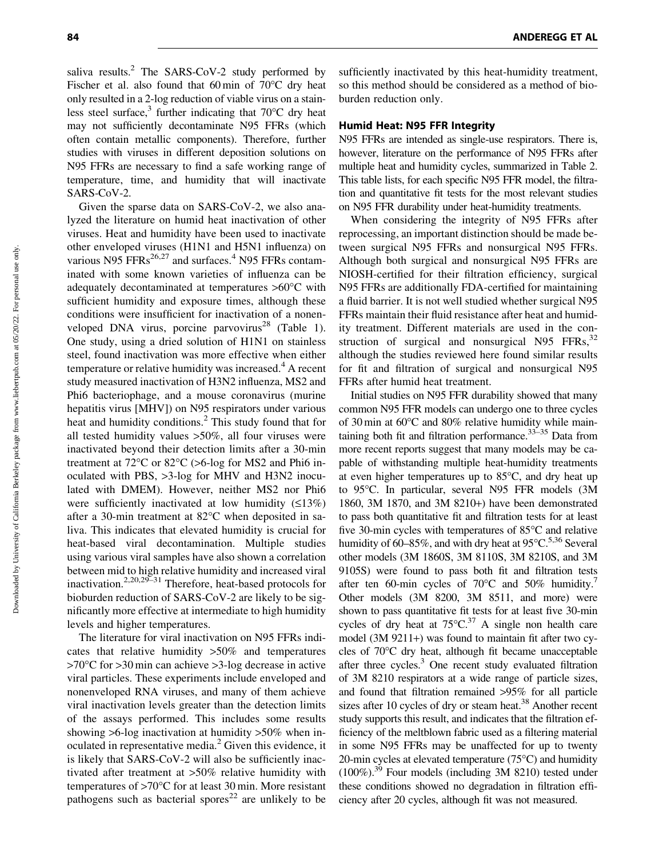saliva results. $^{2}$  The SARS-CoV-2 study performed by Fischer et al. also found that  $60 \text{ min}$  of  $70^{\circ}$ C dry heat only resulted in a 2-log reduction of viable virus on a stainless steel surface, $3$  further indicating that 70 $\rm ^{o}C$  dry heat may not sufficiently decontaminate N95 FFRs (which often contain metallic components). Therefore, further studies with viruses in different deposition solutions on N95 FFRs are necessary to find a safe working range of temperature, time, and humidity that will inactivate SARS-CoV-2.

Given the sparse data on SARS-CoV-2, we also analyzed the literature on humid heat inactivation of other viruses. Heat and humidity have been used to inactivate other enveloped viruses (H1N1 and H5N1 influenza) on various  $N95$  FFRs<sup>26,27</sup> and surfaces.<sup>4</sup> N95 FFRs contaminated with some known varieties of influenza can be adequately decontaminated at temperatures >60°C with sufficient humidity and exposure times, although these conditions were insufficient for inactivation of a nonenveloped DNA virus, porcine parvovirus<sup>28</sup> (Table 1). One study, using a dried solution of H1N1 on stainless steel, found inactivation was more effective when either temperature or relative humidity was increased.<sup>4</sup> A recent study measured inactivation of H3N2 influenza, MS2 and Phi6 bacteriophage, and a mouse coronavirus (murine hepatitis virus [MHV]) on N95 respirators under various heat and humidity conditions.<sup>2</sup> This study found that for all tested humidity values >50%, all four viruses were inactivated beyond their detection limits after a 30-min treatment at  $72^{\circ}$ C or  $82^{\circ}$ C (>6-log for MS2 and Phi6 inoculated with PBS, >3-log for MHV and H3N2 inoculated with DMEM). However, neither MS2 nor Phi6 were sufficiently inactivated at low humidity  $(≤13%)$ after a 30-min treatment at 82°C when deposited in saliva. This indicates that elevated humidity is crucial for heat-based viral decontamination. Multiple studies using various viral samples have also shown a correlation between mid to high relative humidity and increased viral inactivation.2,20,29–31 Therefore, heat-based protocols for bioburden reduction of SARS-CoV-2 are likely to be significantly more effective at intermediate to high humidity levels and higher temperatures.

The literature for viral inactivation on N95 FFRs indicates that relative humidity >50% and temperatures >70°C for >30 min can achieve >3-log decrease in active viral particles. These experiments include enveloped and nonenveloped RNA viruses, and many of them achieve viral inactivation levels greater than the detection limits of the assays performed. This includes some results showing >6-log inactivation at humidity >50% when inoculated in representative media.<sup>2</sup> Given this evidence, it is likely that SARS-CoV-2 will also be sufficiently inactivated after treatment at >50% relative humidity with temperatures of  $>70^{\circ}$ C for at least 30 min. More resistant pathogens such as bacterial spores<sup>22</sup> are unlikely to be sufficiently inactivated by this heat-humidity treatment, so this method should be considered as a method of bioburden reduction only.

## Humid Heat: N95 FFR Integrity

N95 FFRs are intended as single-use respirators. There is, however, literature on the performance of N95 FFRs after multiple heat and humidity cycles, summarized in Table 2. This table lists, for each specific N95 FFR model, the filtration and quantitative fit tests for the most relevant studies on N95 FFR durability under heat-humidity treatments.

When considering the integrity of N95 FFRs after reprocessing, an important distinction should be made between surgical N95 FFRs and nonsurgical N95 FFRs. Although both surgical and nonsurgical N95 FFRs are NIOSH-certified for their filtration efficiency, surgical N95 FFRs are additionally FDA-certified for maintaining a fluid barrier. It is not well studied whether surgical N95 FFRs maintain their fluid resistance after heat and humidity treatment. Different materials are used in the construction of surgical and nonsurgical N95  $FFRs$ ,  $32$ although the studies reviewed here found similar results for fit and filtration of surgical and nonsurgical N95 FFRs after humid heat treatment.

Initial studies on N95 FFR durability showed that many common N95 FFR models can undergo one to three cycles of 30 min at  $60^{\circ}$ C and 80% relative humidity while maintaining both fit and filtration performance.<sup>33-35</sup> Data from more recent reports suggest that many models may be capable of withstanding multiple heat-humidity treatments at even higher temperatures up to 85°C, and dry heat up to 95°C. In particular, several N95 FFR models (3M 1860, 3M 1870, and 3M 8210+) have been demonstrated to pass both quantitative fit and filtration tests for at least five 30-min cycles with temperatures of  $85^{\circ}$ C and relative humidity of  $60-85\%$ , and with dry heat at  $95^{\circ}$ C.<sup>5,36</sup> Several other models (3M 1860S, 3M 8110S, 3M 8210S, and 3M 9105S) were found to pass both fit and filtration tests after ten 60-min cycles of  $70^{\circ}$ C and  $50\%$  humidity.<sup>7</sup> Other models (3M 8200, 3M 8511, and more) were shown to pass quantitative fit tests for at least five 30-min cycles of dry heat at  $75^{\circ}$ C.<sup>37</sup> A single non health care model (3M 9211+) was found to maintain fit after two cycles of 70°C dry heat, although fit became unacceptable after three cycles.<sup>3</sup> One recent study evaluated filtration of 3M 8210 respirators at a wide range of particle sizes, and found that filtration remained >95% for all particle sizes after 10 cycles of dry or steam heat.<sup>38</sup> Another recent study supports this result, and indicates that the filtration efficiency of the meltblown fabric used as a filtering material in some N95 FFRs may be unaffected for up to twenty 20-min cycles at elevated temperature  $(75^{\circ}C)$  and humidity  $(100\%)$ <sup>39</sup> Four models (including 3M 8210) tested under these conditions showed no degradation in filtration efficiency after 20 cycles, although fit was not measured.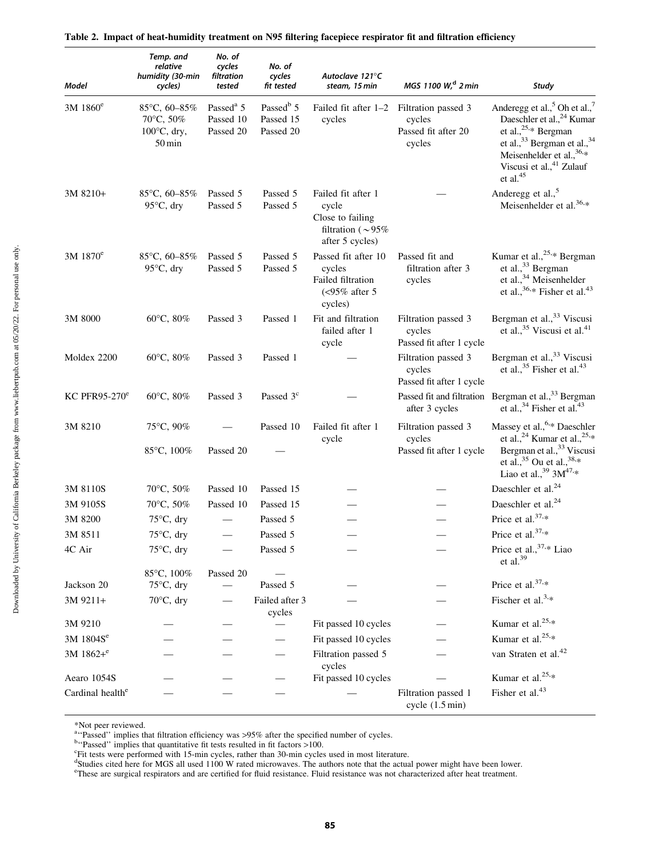| <b>Model</b>                 | Temp. and<br>relative<br>humidity (30-min<br>cycles)                                | No. of<br>cycles<br>filtration<br>tested        | No. of<br>cycles<br>fit tested                  | Autoclave 121°C<br>steam, 15 min                                                              | MGS 1100 W, <sup>d</sup> 2 min                            | Study                                                                                                                                                                                                                                                                 |
|------------------------------|-------------------------------------------------------------------------------------|-------------------------------------------------|-------------------------------------------------|-----------------------------------------------------------------------------------------------|-----------------------------------------------------------|-----------------------------------------------------------------------------------------------------------------------------------------------------------------------------------------------------------------------------------------------------------------------|
| $3M$ 1860 <sup>e</sup>       | 85 $\degree$ C, 60-85%<br>70°C, 50%<br>$100^{\circ}$ C, dry,<br>$50 \,\mathrm{min}$ | Passed <sup>a</sup> 5<br>Passed 10<br>Passed 20 | Passed <sup>b</sup> 5<br>Passed 15<br>Passed 20 | Failed fit after 1-2 Filtration passed 3<br>cycles                                            | cycles<br>Passed fit after 20<br>cycles                   | Anderegg et al., <sup>5</sup> Oh et al., <sup>7</sup><br>Daeschler et al., <sup>24</sup> Kumar<br>et al., $25.*$ Bergman<br>et al., <sup>33</sup> Bergman et al., <sup>34</sup><br>Meisenhelder et al., $36.*$<br>Viscusi et al., <sup>41</sup> Zulauf<br>et al. $45$ |
| 3M 8210+                     | 85 $\degree$ C, 60-85%<br>$95^{\circ}$ C, dry                                       | Passed 5<br>Passed 5                            | Passed 5<br>Passed 5                            | Failed fit after 1<br>cycle<br>Close to failing<br>filtration ( $\sim$ 95%<br>after 5 cycles) |                                                           | Anderegg et al., <sup>5</sup><br>Meisenhelder et al. <sup>36,*</sup>                                                                                                                                                                                                  |
| 3M 1870 <sup>e</sup>         | 85 $\degree$ C, 60-85%<br>$95^{\circ}$ C, dry                                       | Passed 5<br>Passed 5                            | Passed 5<br>Passed 5                            | Passed fit after 10<br>cycles<br>Failed filtration<br>$\langle$ <95% after 5<br>cycles)       | Passed fit and<br>filtration after 3<br>cycles            | Kumar et al., <sup>25,*</sup> Bergman<br>et al., <sup>33</sup> Bergman<br>et al., <sup>34</sup> Meisenhelder<br>et al., $36.*$ Fisher et al. <sup>43</sup>                                                                                                            |
| 3M 8000                      | 60°C, 80%                                                                           | Passed 3                                        | Passed 1                                        | Fit and filtration<br>failed after 1<br>cycle                                                 | Filtration passed 3<br>cycles<br>Passed fit after 1 cycle | Bergman et al., <sup>33</sup> Viscusi<br>et al., <sup>35</sup> Viscusi et al. <sup>41</sup>                                                                                                                                                                           |
| Moldex 2200                  | $60^{\circ}$ C, $80\%$                                                              | Passed 3                                        | Passed 1                                        |                                                                                               | Filtration passed 3<br>cycles<br>Passed fit after 1 cycle | Bergman et al., <sup>33</sup> Viscusi<br>et al., $35$ Fisher et al. <sup>43</sup>                                                                                                                                                                                     |
| KC PFR95-270 $^{\rm e}$      | $60^{\circ}$ C, $80\%$                                                              | Passed 3                                        | Passed 3 <sup>c</sup>                           |                                                                                               | after 3 cycles                                            | Passed fit and filtration Bergman et al., <sup>33</sup> Bergman<br>et al., $34$ Fisher et al. <sup>43</sup>                                                                                                                                                           |
| 3M 8210                      | 75°C, 90%<br>85°C, 100%                                                             | Passed 20                                       | Passed 10                                       | Failed fit after 1<br>cycle                                                                   | Filtration passed 3<br>cycles<br>Passed fit after 1 cycle | Massey et al., 6,* Daeschler<br>et al., <sup>24</sup> Kumar et al., <sup>25,*</sup><br>Bergman et al., <sup>33</sup> Viscusi<br>et al., $35$ Ou et al., $38.*$<br>Liao et al., $39.3M^{47,*}$                                                                         |
| 3M 8110S                     | $70^{\circ}$ C, 50%                                                                 | Passed 10                                       | Passed 15                                       |                                                                                               |                                                           | Daeschler et al. <sup>24</sup>                                                                                                                                                                                                                                        |
| 3M 9105S                     | 70°C, 50%                                                                           | Passed 10                                       | Passed 15                                       |                                                                                               |                                                           | Daeschler et al. <sup>24</sup>                                                                                                                                                                                                                                        |
| 3M 8200                      | $75^{\circ}$ C, dry                                                                 |                                                 | Passed 5                                        |                                                                                               |                                                           | Price et al. <sup>37,*</sup>                                                                                                                                                                                                                                          |
| 3M 8511                      | $75^{\circ}$ C, dry                                                                 |                                                 | Passed 5                                        |                                                                                               |                                                           | Price et al. <sup>37,*</sup>                                                                                                                                                                                                                                          |
| 4C Air                       | $75^{\circ}$ C, dry                                                                 |                                                 | Passed 5                                        |                                                                                               |                                                           | Price et al., 37,* Liao<br>et al. $39$                                                                                                                                                                                                                                |
| Jackson 20                   | 85°C, 100%<br>$75^{\circ}$ C, dry                                                   | Passed 20                                       | Passed 5                                        |                                                                                               |                                                           | Price et al. <sup>37,*</sup>                                                                                                                                                                                                                                          |
| 3M 9211+                     | 70°C, dry                                                                           |                                                 | Failed after 3                                  |                                                                                               |                                                           | Fischer et al. <sup>3,*</sup>                                                                                                                                                                                                                                         |
|                              |                                                                                     |                                                 | cycles                                          |                                                                                               |                                                           |                                                                                                                                                                                                                                                                       |
| 3M 9210                      |                                                                                     |                                                 |                                                 | Fit passed 10 cycles                                                                          |                                                           | Kumar et al. <sup>25,*</sup>                                                                                                                                                                                                                                          |
| 3M 1804S <sup>e</sup>        |                                                                                     |                                                 |                                                 | Fit passed 10 cycles                                                                          |                                                           | Kumar et al. $25.*$                                                                                                                                                                                                                                                   |
| $3M1862 +$ <sup>e</sup>      |                                                                                     |                                                 |                                                 | Filtration passed 5<br>cycles                                                                 |                                                           | van Straten et al. <sup>42</sup>                                                                                                                                                                                                                                      |
| Aearo 1054S                  |                                                                                     |                                                 |                                                 | Fit passed 10 cycles                                                                          |                                                           | Kumar et al. <sup>25,*</sup>                                                                                                                                                                                                                                          |
| Cardinal health <sup>e</sup> |                                                                                     |                                                 |                                                 |                                                                                               | Filtration passed 1<br>cycle (1.5 min)                    | Fisher et al. <sup>43</sup>                                                                                                                                                                                                                                           |

| Table 2. Impact of heat-humidity treatment on N95 filtering facepiece respirator fit and filtration efficiency |  |  |  |
|----------------------------------------------------------------------------------------------------------------|--|--|--|
|                                                                                                                |  |  |  |

<sup>b</sup>"Passed" implies that quantitative fit tests resulted in fit factors >100.<br><sup>C</sup>Eit tests were performed with 15 min cycles, rather than 30 min cycle

<sup>\*</sup>Not peer reviewed.<br><sup>a</sup>"Passed'' implies that filtration efficiency was >95% after the specified number of cycles.<br><sup>b"</sup>Passed'' implies that quantitative fit tests resulted in fit fectors >100.

<sup>&</sup>lt;sup>c</sup>Fit tests were performed with 15-min cycles, rather than 30-min cycles used in most literature.<br><sup>d</sup>Studies cited here for MGS all used 1100 W rated microwaves. The authors note that the actual power might have been lowe

e These are surgical respirators and are certified for fluid resistance. Fluid resistance was not characterized after heat treatment.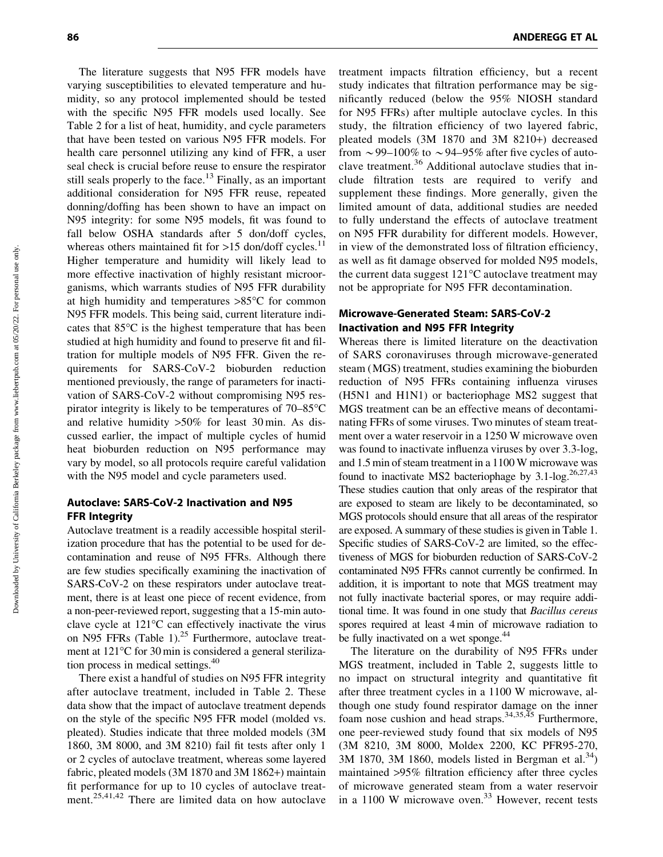The literature suggests that N95 FFR models have varying susceptibilities to elevated temperature and humidity, so any protocol implemented should be tested with the specific N95 FFR models used locally. See Table 2 for a list of heat, humidity, and cycle parameters that have been tested on various N95 FFR models. For health care personnel utilizing any kind of FFR, a user seal check is crucial before reuse to ensure the respirator still seals properly to the face.<sup>13</sup> Finally, as an important additional consideration for N95 FFR reuse, repeated donning/doffing has been shown to have an impact on N95 integrity: for some N95 models, fit was found to fall below OSHA standards after 5 don/doff cycles, whereas others maintained fit for  $>15$  don/doff cycles.<sup>11</sup> Higher temperature and humidity will likely lead to more effective inactivation of highly resistant microorganisms, which warrants studies of N95 FFR durability at high humidity and temperatures  $>85^{\circ}$ C for common N95 FFR models. This being said, current literature indicates that  $85^{\circ}$ C is the highest temperature that has been studied at high humidity and found to preserve fit and filtration for multiple models of N95 FFR. Given the requirements for SARS-CoV-2 bioburden reduction mentioned previously, the range of parameters for inactivation of SARS-CoV-2 without compromising N95 respirator integrity is likely to be temperatures of  $70-85^{\circ}$ C and relative humidity >50% for least 30 min. As discussed earlier, the impact of multiple cycles of humid heat bioburden reduction on N95 performance may vary by model, so all protocols require careful validation with the N95 model and cycle parameters used.

## Autoclave: SARS-CoV-2 Inactivation and N95 FFR Integrity

Autoclave treatment is a readily accessible hospital sterilization procedure that has the potential to be used for decontamination and reuse of N95 FFRs. Although there are few studies specifically examining the inactivation of SARS-CoV-2 on these respirators under autoclave treatment, there is at least one piece of recent evidence, from a non-peer-reviewed report, suggesting that a 15-min autoclave cycle at  $121^{\circ}$ C can effectively inactivate the virus on N95 FFRs (Table 1). $^{25}$  Furthermore, autoclave treatment at 121°C for 30 min is considered a general sterilization process in medical settings. $40^{\circ}$ 

There exist a handful of studies on N95 FFR integrity after autoclave treatment, included in Table 2. These data show that the impact of autoclave treatment depends on the style of the specific N95 FFR model (molded vs. pleated). Studies indicate that three molded models (3M 1860, 3M 8000, and 3M 8210) fail fit tests after only 1 or 2 cycles of autoclave treatment, whereas some layered fabric, pleated models (3M 1870 and 3M 1862+) maintain fit performance for up to 10 cycles of autoclave treatment.<sup>25,41,42</sup> There are limited data on how autoclave treatment impacts filtration efficiency, but a recent study indicates that filtration performance may be significantly reduced (below the 95% NIOSH standard for N95 FFRs) after multiple autoclave cycles. In this study, the filtration efficiency of two layered fabric, pleated models (3M 1870 and 3M 8210+) decreased from  $\sim$  99–100% to  $\sim$  94–95% after five cycles of autoclave treatment.<sup>36</sup> Additional autoclave studies that include filtration tests are required to verify and supplement these findings. More generally, given the limited amount of data, additional studies are needed to fully understand the effects of autoclave treatment on N95 FFR durability for different models. However, in view of the demonstrated loss of filtration efficiency, as well as fit damage observed for molded N95 models, the current data suggest  $121^{\circ}$ C autoclave treatment may not be appropriate for N95 FFR decontamination.

## Microwave-Generated Steam: SARS-CoV-2 Inactivation and N95 FFR Integrity

Whereas there is limited literature on the deactivation of SARS coronaviruses through microwave-generated steam (MGS) treatment, studies examining the bioburden reduction of N95 FFRs containing influenza viruses (H5N1 and H1N1) or bacteriophage MS2 suggest that MGS treatment can be an effective means of decontaminating FFRs of some viruses. Two minutes of steam treatment over a water reservoir in a 1250 W microwave oven was found to inactivate influenza viruses by over 3.3-log, and 1.5 min of steam treatment in a 1100 W microwave was found to inactivate MS2 bacteriophage by  $3.1$ -log.<sup>26,27,43</sup> These studies caution that only areas of the respirator that are exposed to steam are likely to be decontaminated, so MGS protocols should ensure that all areas of the respirator are exposed. A summary of these studies is given in Table 1. Specific studies of SARS-CoV-2 are limited, so the effectiveness of MGS for bioburden reduction of SARS-CoV-2 contaminated N95 FFRs cannot currently be confirmed. In addition, it is important to note that MGS treatment may not fully inactivate bacterial spores, or may require additional time. It was found in one study that *Bacillus cereus* spores required at least 4 min of microwave radiation to be fully inactivated on a wet sponge.<sup>44</sup>

The literature on the durability of N95 FFRs under MGS treatment, included in Table 2, suggests little to no impact on structural integrity and quantitative fit after three treatment cycles in a 1100 W microwave, although one study found respirator damage on the inner foam nose cushion and head straps.<sup>34,35,45</sup> Furthermore, one peer-reviewed study found that six models of N95 (3M 8210, 3M 8000, Moldex 2200, KC PFR95-270,  $3M$  1870, 3M 1860, models listed in Bergman et al.<sup>34</sup>) maintained >95% filtration efficiency after three cycles of microwave generated steam from a water reservoir in a 1100 W microwave oven.<sup>33</sup> However, recent tests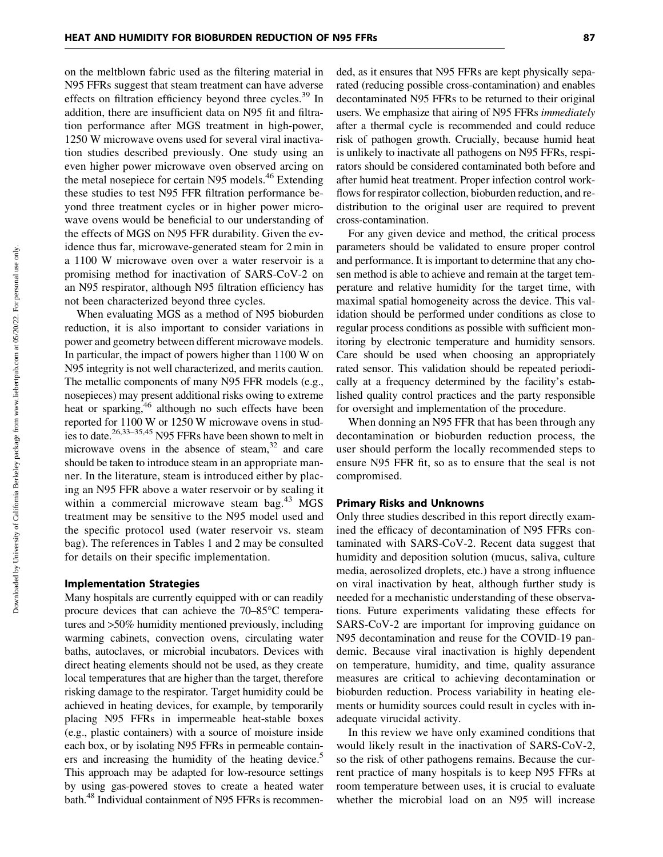on the meltblown fabric used as the filtering material in N95 FFRs suggest that steam treatment can have adverse effects on filtration efficiency beyond three cycles.<sup>39</sup> In addition, there are insufficient data on N95 fit and filtration performance after MGS treatment in high-power, 1250 W microwave ovens used for several viral inactivation studies described previously. One study using an even higher power microwave oven observed arcing on the metal nosepiece for certain N95 models.<sup>46</sup> Extending these studies to test N95 FFR filtration performance beyond three treatment cycles or in higher power microwave ovens would be beneficial to our understanding of the effects of MGS on N95 FFR durability. Given the evidence thus far, microwave-generated steam for 2 min in a 1100 W microwave oven over a water reservoir is a promising method for inactivation of SARS-CoV-2 on an N95 respirator, although N95 filtration efficiency has not been characterized beyond three cycles.

When evaluating MGS as a method of N95 bioburden reduction, it is also important to consider variations in power and geometry between different microwave models. In particular, the impact of powers higher than 1100 W on N95 integrity is not well characterized, and merits caution. The metallic components of many N95 FFR models (e.g., nosepieces) may present additional risks owing to extreme heat or sparking, $46$  although no such effects have been reported for 1100 W or 1250 W microwave ovens in studies to date.26,33–35,45 N95 FFRs have been shown to melt in microwave ovens in the absence of steam, $32$  and care should be taken to introduce steam in an appropriate manner. In the literature, steam is introduced either by placing an N95 FFR above a water reservoir or by sealing it within a commercial microwave steam  $bag.<sup>43</sup> MGS$ treatment may be sensitive to the N95 model used and the specific protocol used (water reservoir vs. steam bag). The references in Tables 1 and 2 may be consulted for details on their specific implementation.

#### Implementation Strategies

Many hospitals are currently equipped with or can readily procure devices that can achieve the  $70-85^{\circ}$ C temperatures and >50% humidity mentioned previously, including warming cabinets, convection ovens, circulating water baths, autoclaves, or microbial incubators. Devices with direct heating elements should not be used, as they create local temperatures that are higher than the target, therefore risking damage to the respirator. Target humidity could be achieved in heating devices, for example, by temporarily placing N95 FFRs in impermeable heat-stable boxes (e.g., plastic containers) with a source of moisture inside each box, or by isolating N95 FFRs in permeable containers and increasing the humidity of the heating device.<sup>5</sup> This approach may be adapted for low-resource settings by using gas-powered stoves to create a heated water bath.<sup>48</sup> Individual containment of N95 FFRs is recommended, as it ensures that N95 FFRs are kept physically separated (reducing possible cross-contamination) and enables decontaminated N95 FFRs to be returned to their original users. We emphasize that airing of N95 FFRs *immediately* after a thermal cycle is recommended and could reduce risk of pathogen growth. Crucially, because humid heat is unlikely to inactivate all pathogens on N95 FFRs, respirators should be considered contaminated both before and after humid heat treatment. Proper infection control workflows for respirator collection, bioburden reduction, and redistribution to the original user are required to prevent cross-contamination.

For any given device and method, the critical process parameters should be validated to ensure proper control and performance. It is important to determine that any chosen method is able to achieve and remain at the target temperature and relative humidity for the target time, with maximal spatial homogeneity across the device. This validation should be performed under conditions as close to regular process conditions as possible with sufficient monitoring by electronic temperature and humidity sensors. Care should be used when choosing an appropriately rated sensor. This validation should be repeated periodically at a frequency determined by the facility's established quality control practices and the party responsible for oversight and implementation of the procedure.

When donning an N95 FFR that has been through any decontamination or bioburden reduction process, the user should perform the locally recommended steps to ensure N95 FFR fit, so as to ensure that the seal is not compromised.

## Primary Risks and Unknowns

Only three studies described in this report directly examined the efficacy of decontamination of N95 FFRs contaminated with SARS-CoV-2. Recent data suggest that humidity and deposition solution (mucus, saliva, culture media, aerosolized droplets, etc.) have a strong influence on viral inactivation by heat, although further study is needed for a mechanistic understanding of these observations. Future experiments validating these effects for SARS-CoV-2 are important for improving guidance on N95 decontamination and reuse for the COVID-19 pandemic. Because viral inactivation is highly dependent on temperature, humidity, and time, quality assurance measures are critical to achieving decontamination or bioburden reduction. Process variability in heating elements or humidity sources could result in cycles with inadequate virucidal activity.

In this review we have only examined conditions that would likely result in the inactivation of SARS-CoV-2, so the risk of other pathogens remains. Because the current practice of many hospitals is to keep N95 FFRs at room temperature between uses, it is crucial to evaluate whether the microbial load on an N95 will increase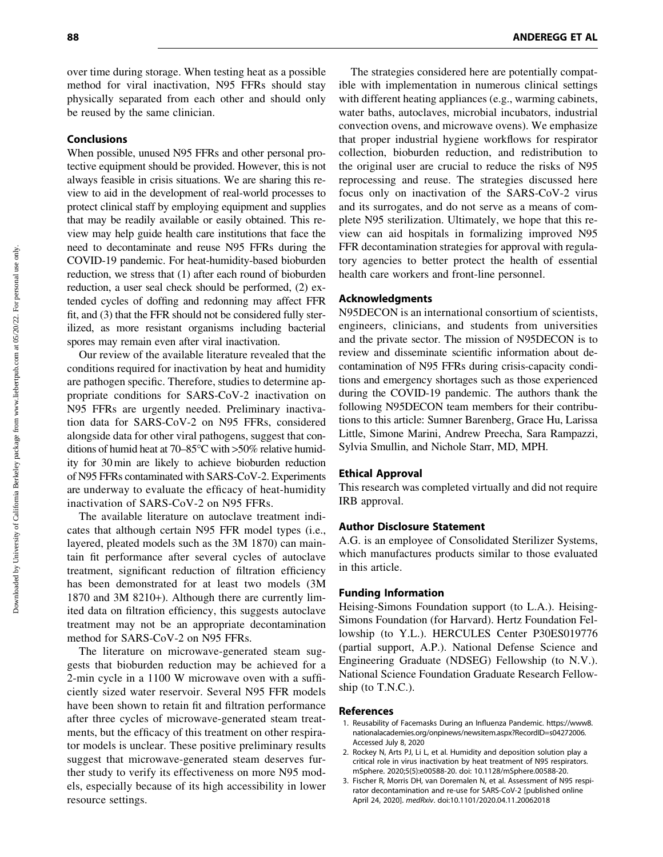over time during storage. When testing heat as a possible method for viral inactivation, N95 FFRs should stay physically separated from each other and should only be reused by the same clinician.

#### Conclusions

When possible, unused N95 FFRs and other personal protective equipment should be provided. However, this is not always feasible in crisis situations. We are sharing this review to aid in the development of real-world processes to protect clinical staff by employing equipment and supplies that may be readily available or easily obtained. This review may help guide health care institutions that face the need to decontaminate and reuse N95 FFRs during the COVID-19 pandemic. For heat-humidity-based bioburden reduction, we stress that (1) after each round of bioburden reduction, a user seal check should be performed, (2) extended cycles of doffing and redonning may affect FFR fit, and (3) that the FFR should not be considered fully sterilized, as more resistant organisms including bacterial spores may remain even after viral inactivation.

Our review of the available literature revealed that the conditions required for inactivation by heat and humidity are pathogen specific. Therefore, studies to determine appropriate conditions for SARS-CoV-2 inactivation on N95 FFRs are urgently needed. Preliminary inactivation data for SARS-CoV-2 on N95 FFRs, considered alongside data for other viral pathogens, suggest that conditions of humid heat at 70–85 $\degree$ C with >50% relative humidity for 30 min are likely to achieve bioburden reduction of N95 FFRs contaminated with SARS-CoV-2. Experiments are underway to evaluate the efficacy of heat-humidity inactivation of SARS-CoV-2 on N95 FFRs.

The available literature on autoclave treatment indicates that although certain N95 FFR model types (i.e., layered, pleated models such as the 3M 1870) can maintain fit performance after several cycles of autoclave treatment, significant reduction of filtration efficiency has been demonstrated for at least two models (3M 1870 and 3M 8210+). Although there are currently limited data on filtration efficiency, this suggests autoclave treatment may not be an appropriate decontamination method for SARS-CoV-2 on N95 FFRs.

The literature on microwave-generated steam suggests that bioburden reduction may be achieved for a 2-min cycle in a 1100 W microwave oven with a sufficiently sized water reservoir. Several N95 FFR models have been shown to retain fit and filtration performance after three cycles of microwave-generated steam treatments, but the efficacy of this treatment on other respirator models is unclear. These positive preliminary results suggest that microwave-generated steam deserves further study to verify its effectiveness on more N95 models, especially because of its high accessibility in lower resource settings.

The strategies considered here are potentially compatible with implementation in numerous clinical settings with different heating appliances (e.g., warming cabinets, water baths, autoclaves, microbial incubators, industrial convection ovens, and microwave ovens). We emphasize that proper industrial hygiene workflows for respirator collection, bioburden reduction, and redistribution to the original user are crucial to reduce the risks of N95 reprocessing and reuse. The strategies discussed here focus only on inactivation of the SARS-CoV-2 virus and its surrogates, and do not serve as a means of complete N95 sterilization. Ultimately, we hope that this review can aid hospitals in formalizing improved N95 FFR decontamination strategies for approval with regulatory agencies to better protect the health of essential health care workers and front-line personnel.

## Acknowledgments

N95DECON is an international consortium of scientists, engineers, clinicians, and students from universities and the private sector. The mission of N95DECON is to review and disseminate scientific information about decontamination of N95 FFRs during crisis-capacity conditions and emergency shortages such as those experienced during the COVID-19 pandemic. The authors thank the following N95DECON team members for their contributions to this article: Sumner Barenberg, Grace Hu, Larissa Little, Simone Marini, Andrew Preecha, Sara Rampazzi, Sylvia Smullin, and Nichole Starr, MD, MPH.

#### Ethical Approval

This research was completed virtually and did not require IRB approval.

#### Author Disclosure Statement

A.G. is an employee of Consolidated Sterilizer Systems, which manufactures products similar to those evaluated in this article.

#### Funding Information

Heising-Simons Foundation support (to L.A.). Heising-Simons Foundation (for Harvard). Hertz Foundation Fellowship (to Y.L.). HERCULES Center P30ES019776 (partial support, A.P.). National Defense Science and Engineering Graduate (NDSEG) Fellowship (to N.V.). National Science Foundation Graduate Research Fellowship (to T.N.C.).

#### References

- 1. Reusability of Facemasks During an Influenza Pandemic. https://www8. nationalacademies.org/onpinews/newsitem.aspx?RecordID=s04272006. Accessed July 8, 2020
- 2. Rockey N, Arts PJ, Li L, et al. Humidity and deposition solution play a critical role in virus inactivation by heat treatment of N95 respirators. mSphere. 2020;5(5):e00588-20. doi: 10.1128/mSphere.00588-20.
- 3. Fischer R, Morris DH, van Doremalen N, et al. Assessment of N95 respirator decontamination and re-use for SARS-CoV-2 [published online April 24, 2020]. medRxiv. doi:10.1101/2020.04.11.20062018